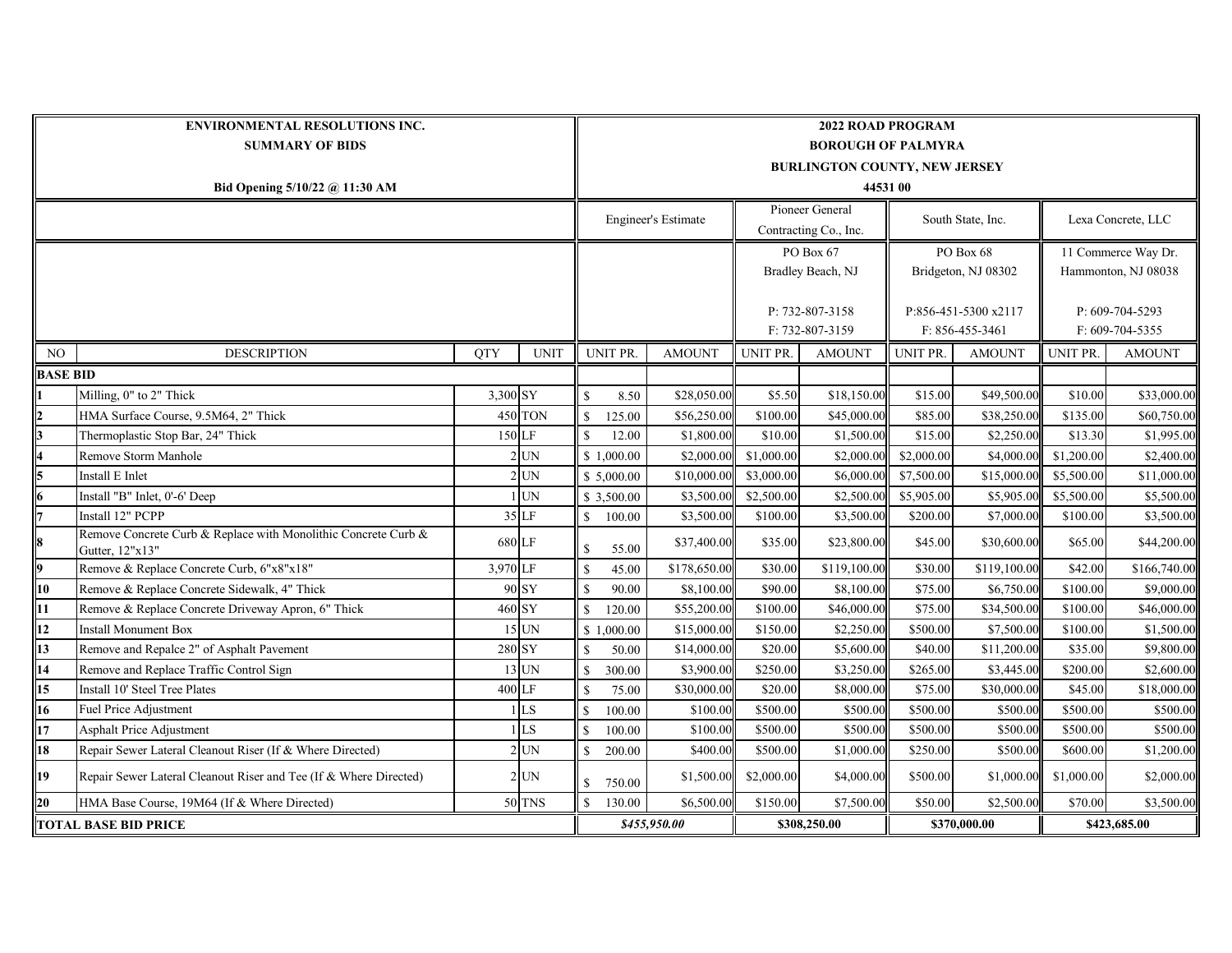| <b>ENVIRONMENTAL RESOLUTIONS INC.</b> |                                                                                   |            |               | <b>2022 ROAD PROGRAM</b>   |                                      |               |                       |               |                       |               |                       |               |  |  |  |
|---------------------------------------|-----------------------------------------------------------------------------------|------------|---------------|----------------------------|--------------------------------------|---------------|-----------------------|---------------|-----------------------|---------------|-----------------------|---------------|--|--|--|
| <b>SUMMARY OF BIDS</b>                |                                                                                   |            |               |                            | <b>BOROUGH OF PALMYRA</b>            |               |                       |               |                       |               |                       |               |  |  |  |
|                                       |                                                                                   |            |               |                            | <b>BURLINGTON COUNTY, NEW JERSEY</b> |               |                       |               |                       |               |                       |               |  |  |  |
| Bid Opening 5/10/22 @ 11:30 AM        |                                                                                   |            |               |                            | 44531 00                             |               |                       |               |                       |               |                       |               |  |  |  |
|                                       |                                                                                   |            |               | <b>Engineer's Estimate</b> |                                      |               | Pioneer General       |               |                       |               |                       |               |  |  |  |
|                                       |                                                                                   |            |               |                            |                                      |               | Contracting Co., Inc. |               | South State, Inc.     |               | Lexa Concrete, LLC    |               |  |  |  |
|                                       |                                                                                   |            |               |                            |                                      |               | PO Box 67             |               | PO Box 68             |               | 11 Commerce Way Dr.   |               |  |  |  |
|                                       |                                                                                   |            |               |                            |                                      |               | Bradley Beach, NJ     |               | Bridgeton, NJ 08302   |               | Hammonton, NJ 08038   |               |  |  |  |
|                                       |                                                                                   |            |               |                            |                                      |               |                       |               |                       |               |                       |               |  |  |  |
|                                       |                                                                                   |            |               |                            |                                      |               | P: 732-807-3158       |               | P:856-451-5300 x2117  |               | $P: 609 - 704 - 5293$ |               |  |  |  |
|                                       |                                                                                   |            |               |                            |                                      |               | F: 732-807-3159       |               | $F: 856 - 455 - 3461$ |               | F: 609-704-5355       |               |  |  |  |
| NO                                    | <b>DESCRIPTION</b>                                                                | <b>QTY</b> | <b>UNIT</b>   |                            | UNIT PR.                             | <b>AMOUNT</b> | UNIT PR.              | <b>AMOUNT</b> | UNIT PR.              | <b>AMOUNT</b> | <b>UNIT PR.</b>       | <b>AMOUNT</b> |  |  |  |
| <b>BASE BID</b>                       |                                                                                   |            |               |                            |                                      |               |                       |               |                       |               |                       |               |  |  |  |
|                                       | Milling, 0" to 2" Thick                                                           | 3,300 SY   |               | <sup>\$</sup>              | 8.50                                 | \$28,050.00   | \$5.50                | \$18,150.00   | \$15.00               | \$49,500.00   | \$10.00               | \$33,000.00   |  |  |  |
|                                       | HMA Surface Course, 9.5M64, 2" Thick                                              |            | 450 TON       | $\mathbb{S}$               | 125.00                               | \$56,250.00   | \$100.00              | \$45,000.00   | \$85.00               | \$38,250.00   | \$135.00              | \$60,750.00   |  |  |  |
|                                       | Thermoplastic Stop Bar, 24" Thick                                                 | 150 LF     |               | $\mathcal{S}$              | 12.00                                | \$1,800.00    | \$10.00               | \$1,500.00    | \$15.00               | \$2,250.00    | \$13.30               | \$1,995.00    |  |  |  |
|                                       | Remove Storm Manhole                                                              |            | $2$ UN        |                            | \$1,000.00                           | \$2,000.00    | \$1,000.00            | \$2,000.00    | \$2,000.00            | \$4,000.0     | \$1,200.00            | \$2,400.00    |  |  |  |
|                                       | Install E Inlet                                                                   |            | $2$ UN        |                            | \$5,000.00                           | \$10,000.00   | \$3,000.00            | \$6,000.00    | \$7,500.00            | \$15,000.0    | \$5,500.00            | \$11,000.00   |  |  |  |
|                                       | Install "B" Inlet, 0'-6' Deep                                                     |            | $1$ UN        |                            | \$ 3,500.00                          | \$3,500.00    | \$2,500.00            | \$2,500.00    | \$5,905.00            | \$5,905.00    | \$5,500.00            | \$5,500.00    |  |  |  |
|                                       | Install 12" PCPP                                                                  |            | 35 LF         | $\mathbb{S}$               | 100.00                               | \$3,500.00    | \$100.00              | \$3,500.00    | \$200.00              | \$7,000.00    | \$100.00              | \$3,500.00    |  |  |  |
|                                       | Remove Concrete Curb & Replace with Monolithic Concrete Curb &<br>Gutter, 12"x13" | 680 LF     |               | $\mathbf S$                | 55.00                                | \$37,400.00   | \$35.00               | \$23,800.00   | \$45.00               | \$30,600.00   | \$65.00               | \$44,200.00   |  |  |  |
|                                       | Remove & Replace Concrete Curb, 6"x8"x18"                                         | 3,970 LF   |               | <sup>\$</sup>              | 45.00                                | \$178,650.00  | \$30.00               | \$119,100.00  | \$30.00               | \$119,100.00  | \$42.00               | \$166,740.00  |  |  |  |
| 10                                    | Remove & Replace Concrete Sidewalk, 4" Thick                                      |            | 90 SY         | <sup>\$</sup>              | 90.00                                | \$8,100.00    | \$90.00               | \$8,100.00    | \$75.00               | \$6,750.00    | \$100.00              | \$9,000.00    |  |  |  |
| 11                                    | Remove & Replace Concrete Driveway Apron, 6" Thick                                | 460 SY     |               | $\mathbf{s}$               | 120.00                               | \$55,200.00   | \$100.00              | \$46,000.00   | \$75.00               | \$34,500.00   | \$100.00              | \$46,000.00   |  |  |  |
| 12                                    | <b>Install Monument Box</b>                                                       |            | 15 UN         |                            | \$1,000.00                           | \$15,000.00   | \$150.00              | \$2,250.00    | \$500.00              | \$7,500.00    | \$100.00              | \$1,500.00    |  |  |  |
| 13                                    | Remove and Repalce 2" of Asphalt Pavement                                         | 280 SY     |               | $\mathbf{s}$               | 50.00                                | \$14,000.00   | \$20.00               | \$5,600.00    | \$40.00               | \$11,200.00   | \$35.00               | \$9,800.00    |  |  |  |
| 14                                    | Remove and Replace Traffic Control Sign                                           |            | 13 UN         | $\mathcal{S}$              | 300.00                               | \$3,900.00    | \$250.00              | \$3,250.00    | \$265.00              | \$3,445.00    | \$200.00              | \$2,600.00    |  |  |  |
| 15                                    | Install 10' Steel Tree Plates                                                     | 400 LF     |               | $\mathbf{\hat{S}}$         | 75.00                                | \$30,000.00   | \$20.00               | \$8,000.00    | \$75.00               | \$30,000.00   | \$45.00               | \$18,000.00   |  |  |  |
| 16                                    | Fuel Price Adjustment                                                             |            | LS            | $\mathbf S$                | 100.00                               | \$100.00      | \$500.00              | \$500.00      | \$500.00              | \$500.00      | \$500.00              | \$500.00      |  |  |  |
| 17                                    | <b>Asphalt Price Adjustment</b>                                                   |            | LS            | $\mathbf S$                | 100.00                               | \$100.00      | \$500.00              | \$500.00      | \$500.00              | \$500.00      | \$500.00              | \$500.00      |  |  |  |
| 18                                    | Repair Sewer Lateral Cleanout Riser (If & Where Directed)                         |            | $2$ UN        | \$                         | 200.00                               | \$400.00      | \$500.00              | \$1,000.00    | \$250.00              | \$500.00      | \$600.00              | \$1,200.00    |  |  |  |
| 19                                    | Repair Sewer Lateral Cleanout Riser and Tee (If & Where Directed)                 |            | $2$ UN        | $\mathbf S$                | 750.00                               | \$1,500.00    | \$2,000.00            | \$4,000.00    | \$500.00              | \$1,000.00    | \$1,000.00            | \$2,000.00    |  |  |  |
| 20                                    | HMA Base Course, 19M64 (If & Where Directed)                                      |            | <b>50 TNS</b> | $\mathbf S$                | 130.00                               | \$6,500.00    | \$150.00              | \$7,500.00    | \$50.00               | \$2,500.00    | \$70.00               | \$3,500.00    |  |  |  |
| <b>TOTAL BASE BID PRICE</b>           |                                                                                   |            |               |                            | \$455,950.00                         |               | \$308,250.00          |               | \$370,000.00          |               | \$423,685.00          |               |  |  |  |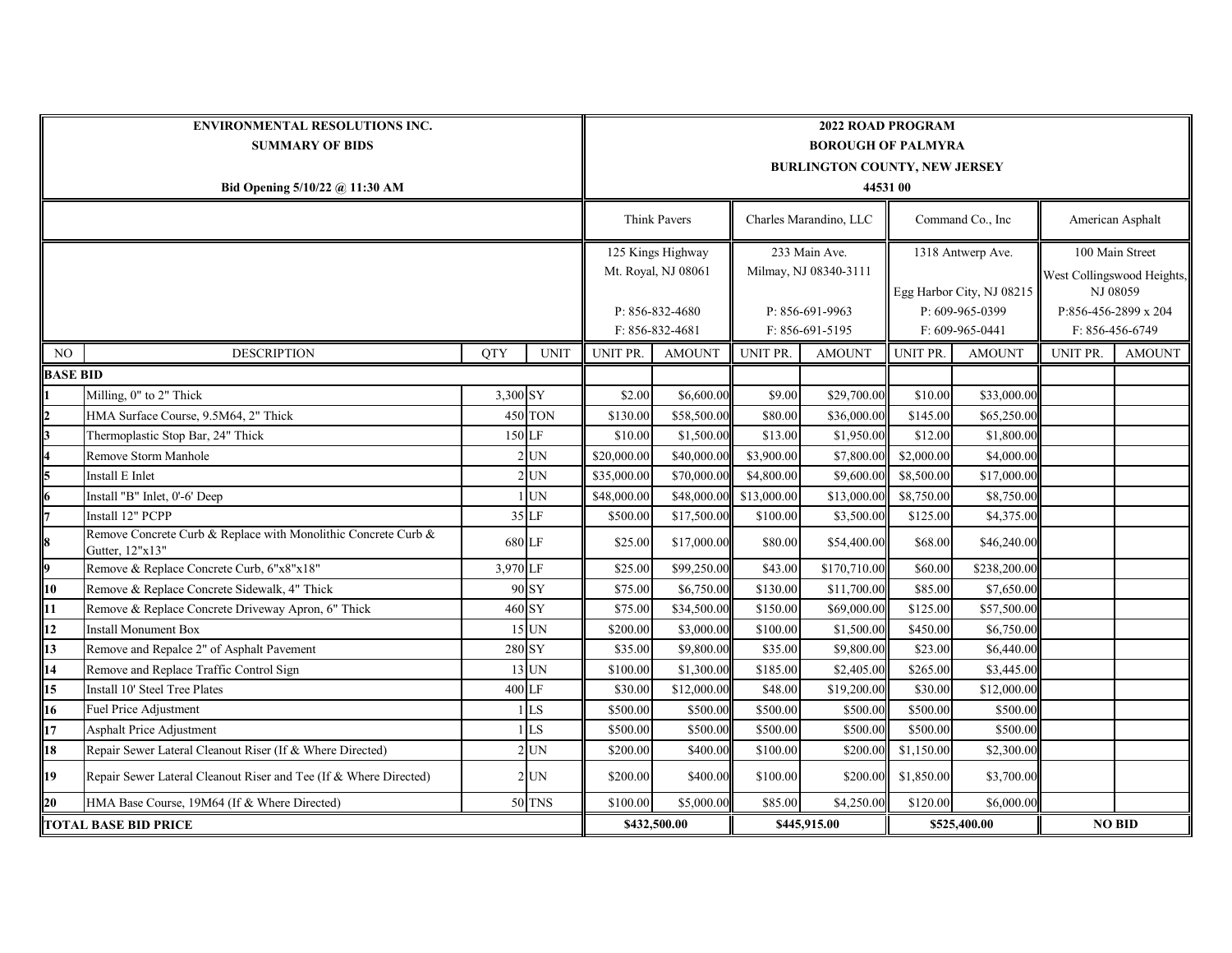| ENVIRONMENTAL RESOLUTIONS INC.<br><b>SUMMARY OF BIDS</b> |                                                                                   |            |               | <b>2022 ROAD PROGRAM</b><br><b>BOROUGH OF PALMYRA</b><br><b>BURLINGTON COUNTY, NEW JERSEY</b> |                                          |                                        |                                    |                                                |                                      |                                                           |                                         |  |  |
|----------------------------------------------------------|-----------------------------------------------------------------------------------|------------|---------------|-----------------------------------------------------------------------------------------------|------------------------------------------|----------------------------------------|------------------------------------|------------------------------------------------|--------------------------------------|-----------------------------------------------------------|-----------------------------------------|--|--|
| Bid Opening 5/10/22 @ 11:30 AM                           |                                                                                   |            |               | 44531 00                                                                                      |                                          |                                        |                                    |                                                |                                      |                                                           |                                         |  |  |
|                                                          |                                                                                   |            |               | Think Pavers                                                                                  |                                          | Charles Marandino, LLC                 |                                    | Command Co., Inc                               |                                      | American Asphalt                                          |                                         |  |  |
|                                                          |                                                                                   |            |               | 125 Kings Highway<br>Mt. Royal, NJ 08061                                                      |                                          | 233 Main Ave.<br>Milmay, NJ 08340-3111 |                                    | 1318 Antwerp Ave.<br>Egg Harbor City, NJ 08215 |                                      | 100 Main Street<br>West Collingswood Heights,<br>NJ 08059 |                                         |  |  |
|                                                          |                                                                                   |            |               |                                                                                               | P: 856-832-4680<br>$F: 856 - 832 - 4681$ |                                        | P: 856-691-9963<br>F: 856-691-5195 |                                                | $P: 609-965-0399$<br>F: 609-965-0441 |                                                           | P:856-456-2899 x 204<br>F: 856-456-6749 |  |  |
| NO                                                       | <b>DESCRIPTION</b>                                                                | <b>QTY</b> | <b>UNIT</b>   | UNIT PR.                                                                                      | <b>AMOUNT</b>                            | UNIT PR.                               | <b>AMOUNT</b>                      | UNIT PR.                                       | <b>AMOUNT</b>                        | UNIT PR.                                                  | <b>AMOUNT</b>                           |  |  |
| <b>BASE BID</b>                                          |                                                                                   |            |               |                                                                                               |                                          |                                        |                                    |                                                |                                      |                                                           |                                         |  |  |
|                                                          | Milling, 0" to 2" Thick                                                           | 3,300 SY   |               | \$2.00                                                                                        | \$6,600.00                               | \$9.00                                 | \$29,700.00                        | \$10.00                                        | \$33,000.00                          |                                                           |                                         |  |  |
| 2                                                        | HMA Surface Course, 9.5M64, 2" Thick                                              |            | 450 TON       | \$130.00                                                                                      | \$58,500.00                              | \$80.00                                | \$36,000.00                        | \$145.00                                       | \$65,250.00                          |                                                           |                                         |  |  |
| 3                                                        | Thermoplastic Stop Bar, 24" Thick                                                 | 150 LF     |               | \$10.00                                                                                       | \$1,500.00                               | \$13.00                                | \$1,950.00                         | \$12.00                                        | \$1,800.00                           |                                                           |                                         |  |  |
|                                                          | Remove Storm Manhole                                                              |            | UN            | \$20,000.00                                                                                   | \$40,000.00                              | \$3,900.00                             | \$7,800.00                         | \$2,000.00                                     | \$4,000.00                           |                                                           |                                         |  |  |
|                                                          | Install E Inlet                                                                   |            | <b>UN</b>     | \$35,000.00                                                                                   | \$70,000.00                              | \$4,800.00                             | \$9,600.00                         | \$8,500.00                                     | \$17,000.00                          |                                                           |                                         |  |  |
| 6                                                        | Install "B" Inlet, 0'-6' Deep                                                     |            | $1$ UN        | \$48,000.00                                                                                   | \$48,000.00                              | \$13,000.00                            | \$13,000.00                        | \$8,750.00                                     | \$8,750.00                           |                                                           |                                         |  |  |
|                                                          | Install 12" PCPP                                                                  |            | 35 LF         | \$500.00                                                                                      | \$17,500.00                              | \$100.00                               | \$3,500.00                         | \$125.00                                       | \$4,375.00                           |                                                           |                                         |  |  |
| 8                                                        | Remove Concrete Curb & Replace with Monolithic Concrete Curb &<br>Gutter, 12"x13" | 680 LF     |               | \$25.00                                                                                       | \$17,000.00                              | \$80.00                                | \$54,400.00                        | \$68.00                                        | \$46,240.00                          |                                                           |                                         |  |  |
| 9                                                        | Remove & Replace Concrete Curb, 6"x8"x18"                                         | 3,970 LF   |               | \$25.00                                                                                       | \$99,250.00                              | \$43.00                                | \$170,710.00                       | \$60.00                                        | \$238,200.00                         |                                                           |                                         |  |  |
| 10                                                       | Remove & Replace Concrete Sidewalk, 4" Thick                                      |            | 90 SY         | \$75.00                                                                                       | \$6,750.00                               | \$130.00                               | \$11,700.00                        | \$85.00                                        | \$7,650.00                           |                                                           |                                         |  |  |
| 11                                                       | Remove & Replace Concrete Driveway Apron, 6" Thick                                | 460 SY     |               | \$75.00                                                                                       | \$34,500.00                              | \$150.00                               | \$69,000.00                        | \$125.00                                       | \$57,500.00                          |                                                           |                                         |  |  |
| 12                                                       | <b>Install Monument Box</b>                                                       |            | 15 UN         | \$200.00                                                                                      | \$3,000.00                               | \$100.00                               | \$1,500.00                         | \$450.00                                       | \$6,750.00                           |                                                           |                                         |  |  |
| 13                                                       | Remove and Repalce 2" of Asphalt Pavement                                         | 280 SY     |               | \$35.00                                                                                       | \$9,800.00                               | \$35.00                                | \$9,800.00                         | \$23.00                                        | \$6,440.00                           |                                                           |                                         |  |  |
| 14                                                       | Remove and Replace Traffic Control Sign                                           |            | 13 UN         | \$100.00                                                                                      | \$1,300.00                               | \$185.00                               | \$2,405.00                         | \$265.00                                       | \$3,445.00                           |                                                           |                                         |  |  |
| 15                                                       | Install 10' Steel Tree Plates                                                     | 400 LF     |               | \$30.00                                                                                       | \$12,000.00                              | \$48.00                                | \$19,200.00                        | \$30.00                                        | \$12,000.00                          |                                                           |                                         |  |  |
| 16                                                       | Fuel Price Adjustment                                                             |            | LS            | \$500.00                                                                                      | \$500.00                                 | \$500.00                               | \$500.00                           | \$500.00                                       | \$500.00                             |                                                           |                                         |  |  |
| 17                                                       | <b>Asphalt Price Adjustment</b>                                                   |            | LS            | \$500.00                                                                                      | \$500.00                                 | \$500.00                               | \$500.00                           | \$500.00                                       | \$500.00                             |                                                           |                                         |  |  |
| 18                                                       | Repair Sewer Lateral Cleanout Riser (If & Where Directed)                         |            | $2$ UN        | \$200.00                                                                                      | \$400.00                                 | \$100.00                               | \$200.00                           | \$1,150.00                                     | \$2,300.00                           |                                                           |                                         |  |  |
| 19                                                       | Repair Sewer Lateral Cleanout Riser and Tee (If & Where Directed)                 |            | $2$ UN        | \$200.00                                                                                      | \$400.00                                 | \$100.00                               | \$200.00                           | \$1,850.00                                     | \$3,700.00                           |                                                           |                                         |  |  |
| 20                                                       | HMA Base Course, 19M64 (If & Where Directed)                                      |            | <b>50 TNS</b> | \$100.00                                                                                      | \$5,000.00                               | \$85.00                                | \$4,250.00                         | \$120.00                                       | \$6,000.00                           |                                                           |                                         |  |  |
| <b>TOTAL BASE BID PRICE</b>                              |                                                                                   |            |               | \$432,500.00                                                                                  |                                          | \$445,915.00                           |                                    | \$525,400.00                                   |                                      | <b>NO BID</b>                                             |                                         |  |  |